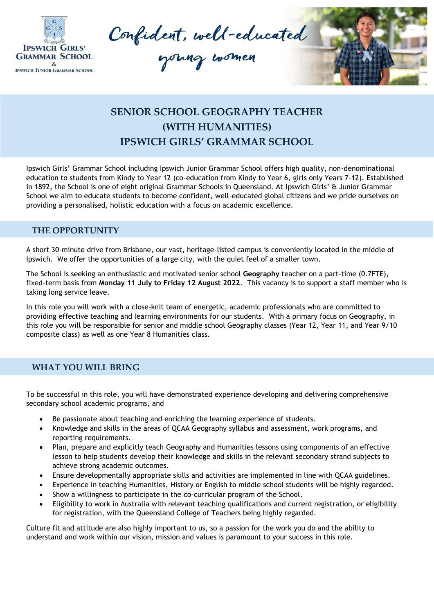

Confident, well-educated



## **SENIOR SCHOOL GEOGRAPHY TEACHER (WITH HUMANITIES) IPSWICH GIRLS' GRAMMAR SCHOOL**

Ipswich Girls' Grammar School including Ipswich Junior Grammar School offers high quality, non-denominational education to students from Kindy to Year 12 (co-education from Kindy to Year 6, girls only Years 7-12). Established in 1892, the School is one of eight original Grammar Schools in Queensland. At Ipswich Girls' & Junior Grammar School we aim to educate students to become confident, well-educated global citizens and we pride ourselves on providing a personalised, holistic education with a focus on academic excellence.

## **THE OPPORTUNITY**

A short 30-minute drive from Brisbane, our vast, heritage-listed campus is conveniently located in the middle of Ipswich. We offer the opportunities of a large city, with the quiet feel of a smaller town.

The School is seeking an enthusiastic and motivated senior school **Geography** teacher on a part-time (0.7FTE), fixed-term basis from **Monday 11 July to Friday 12 August 2022**. This vacancy is to support a staff member who is taking long service leave.

In this role you will work with a close-knit team of energetic, academic professionals who are committed to providing effective teaching and learning environments for our students. With a primary focus on Geography, in this role you will be responsible for senior and middle school Geography classes (Year 12, Year 11, and Year 9/10 composite class) as well as one Year 8 Humanities class.

## **WHAT YOU WILL BRING**

To be successful in this role, you will have demonstrated experience developing and delivering comprehensive secondary school academic programs, and

- Be passionate about teaching and enriching the learning experience of students.
- Knowledge and skills in the areas of QCAA Geography syllabus and assessment, work programs, and reporting requirements.
- Plan, prepare and explicitly teach Geography and Humanities lessons using components of an effective lesson to help students develop their knowledge and skills in the relevant secondary strand subjects to achieve strong academic outcomes.
- Ensure developmentally appropriate skills and activities are implemented in line with QCAA guidelines.
- Experience in teaching Humanities, History or English to middle school students will be highly regarded.
- Show a willingness to participate in the co-curricular program of the School.
- Eligibility to work in Australia with relevant teaching qualifications and current registration, or eligibility for registration, with the Queensland College of Teachers being highly regarded.

Culture fit and attitude are also highly important to us, so a passion for the work you do and the ability to understand and work within our vision, mission and values is paramount to your success in this role.